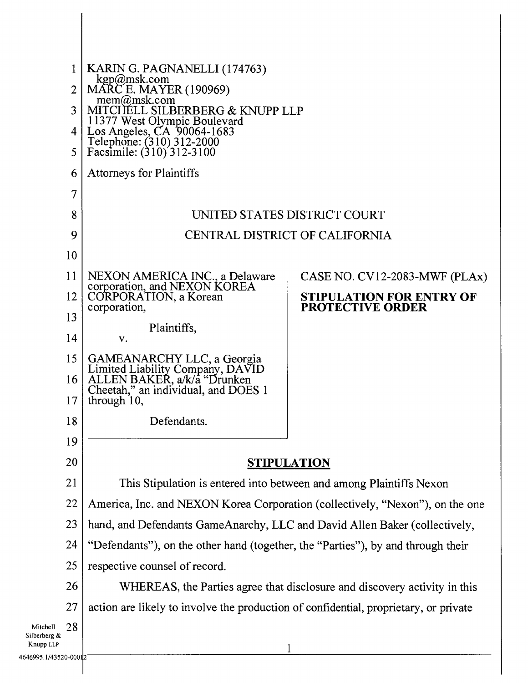|                           | KARIN G. PAGNANELLI (174763)<br>kgp@msk.com<br>MARC E. MAYER (190969)<br>$m$ em $@m$ sk.com<br>MITCHELL SILBERBERG & KNUPP LLP<br>11377 West Olympic Boulevard<br>Los Angeles, CA 90064-1683<br>Telephone: (310) 312-2000<br>Facsimile: (310) 312-3100 |                                                                           |  |
|---------------------------|--------------------------------------------------------------------------------------------------------------------------------------------------------------------------------------------------------------------------------------------------------|---------------------------------------------------------------------------|--|
|                           |                                                                                                                                                                                                                                                        |                                                                           |  |
|                           |                                                                                                                                                                                                                                                        |                                                                           |  |
|                           |                                                                                                                                                                                                                                                        |                                                                           |  |
|                           |                                                                                                                                                                                                                                                        |                                                                           |  |
|                           | <b>Attorneys for Plaintiffs</b>                                                                                                                                                                                                                        |                                                                           |  |
|                           | $\overline{7}$                                                                                                                                                                                                                                         |                                                                           |  |
|                           | 8                                                                                                                                                                                                                                                      | UNITED STATES DISTRICT COURT                                              |  |
|                           | CENTRAL DISTRICT OF CALIFORNIA                                                                                                                                                                                                                         |                                                                           |  |
|                           | 10                                                                                                                                                                                                                                                     |                                                                           |  |
| 11                        | NEXON AMERICA INC., a Delaware<br>corporation, and NEXON KOREA<br>CORPORATION, a Korean                                                                                                                                                                | CASE NO. CV12-2083-MWF (PLAx)                                             |  |
| 12                        |                                                                                                                                                                                                                                                        | <b>STIPULATION FOR ENTRY OF</b>                                           |  |
|                           | corporation,<br>13                                                                                                                                                                                                                                     | <b>PROTECTIVE ORDER</b>                                                   |  |
|                           | Plaintiffs,<br>14<br>v.                                                                                                                                                                                                                                |                                                                           |  |
| 15                        |                                                                                                                                                                                                                                                        |                                                                           |  |
|                           | GAMEANARCHY LLC, a Georgia<br>Limited Liability Company, DAVID<br>ALLEN BAKER, a/k/a "Drunken<br>Cheetah," an individual, and DOES 1<br>16 <sup>1</sup>                                                                                                |                                                                           |  |
| 17                        | through $10$ ,                                                                                                                                                                                                                                         |                                                                           |  |
|                           | 18<br>Defendants.                                                                                                                                                                                                                                      |                                                                           |  |
|                           | 19                                                                                                                                                                                                                                                     |                                                                           |  |
|                           | 20                                                                                                                                                                                                                                                     | <b>STIPULATION</b>                                                        |  |
| 21                        | This Stipulation is entered into between and among Plaintiffs Nexon                                                                                                                                                                                    |                                                                           |  |
| 22                        | America, Inc. and NEXON Korea Corporation (collectively, "Nexon"), on the one                                                                                                                                                                          |                                                                           |  |
| 23                        | hand, and Defendants GameAnarchy, LLC and David Allen Baker (collectively,                                                                                                                                                                             |                                                                           |  |
| 24                        | "Defendants"), on the other hand (together, the "Parties"), by and through their                                                                                                                                                                       |                                                                           |  |
| 25                        | respective counsel of record.                                                                                                                                                                                                                          |                                                                           |  |
|                           | 26                                                                                                                                                                                                                                                     | WHEREAS, the Parties agree that disclosure and discovery activity in this |  |
| 27                        | action are likely to involve the production of confidential, proprietary, or private                                                                                                                                                                   |                                                                           |  |
| Mitchell                  | 28                                                                                                                                                                                                                                                     |                                                                           |  |
| Silberberg &<br>Knupp LLP |                                                                                                                                                                                                                                                        |                                                                           |  |